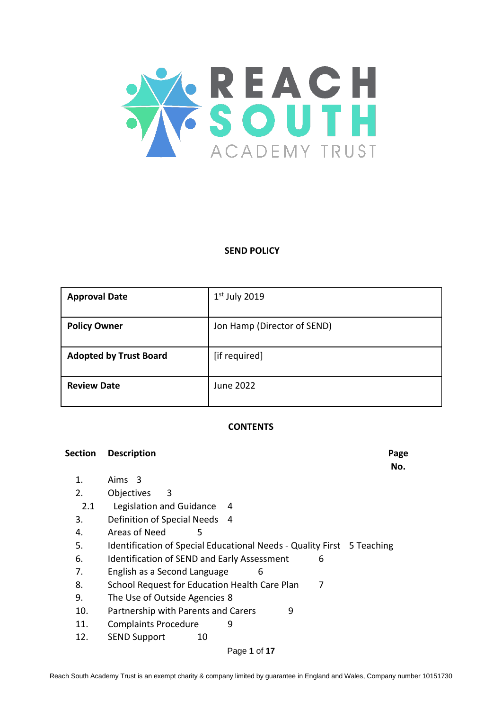

#### **SEND POLICY**

| <b>Approval Date</b>          | $1st$ July 2019             |
|-------------------------------|-----------------------------|
| <b>Policy Owner</b>           | Jon Hamp (Director of SEND) |
| <b>Adopted by Trust Board</b> | [if required]               |
| <b>Review Date</b>            | June 2022                   |

#### **CONTENTS**

| Section | <b>Description</b>                                                     | Page |
|---------|------------------------------------------------------------------------|------|
|         |                                                                        | No.  |
| 1.      | Aims 3                                                                 |      |
| 2.      | Objectives<br>3                                                        |      |
| 2.1     | Legislation and Guidance<br>4                                          |      |
| 3.      | Definition of Special Needs 4                                          |      |
| 4.      | Areas of Need<br>5                                                     |      |
| 5.      | Identification of Special Educational Needs - Quality First 5 Teaching |      |
| 6.      | Identification of SEND and Early Assessment<br>6                       |      |
| 7.      | English as a Second Language<br>6                                      |      |
| 8.      | School Request for Education Health Care Plan<br>7                     |      |
| 9.      | The Use of Outside Agencies 8                                          |      |
| 10.     | Partnership with Parents and Carers<br>9                               |      |
| 11.     | <b>Complaints Procedure</b><br>9                                       |      |

12. SEND Support 10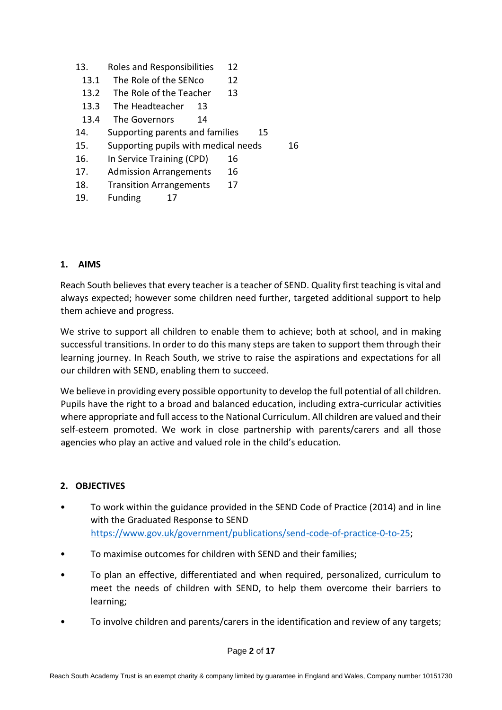- 13. Roles and Responsibilities 12
- 13.1 The Role of the SENco 12
- 13.2 The Role of the Teacher 13
- 13.3 The Headteacher 13
- 13.4 The Governors 14
- 14. Supporting parents and families 15
- 15. Supporting pupils with medical needs 16
- 16. In Service Training (CPD) 16

17. Admission Arrangements 16

- 18. Transition Arrangements 17
- 19. Funding 17

#### **1. AIMS**

Reach South believes that every teacher is a teacher of SEND. Quality first teaching is vital and always expected; however some children need further, targeted additional support to help them achieve and progress.

We strive to support all children to enable them to achieve; both at school, and in making successful transitions. In order to do this many steps are taken to support them through their learning journey. In Reach South, we strive to raise the aspirations and expectations for all our children with SEND, enabling them to succeed.

We believe in providing every possible opportunity to develop the full potential of all children. Pupils have the right to a broad and balanced education, including extra-curricular activities where appropriate and full access to the National Curriculum. All children are valued and their self-esteem promoted. We work in close partnership with parents/carers and all those agencies who play an active and valued role in the child's education.

## **2. OBJECTIVES**

- To work within the guidance provided in the SEND Code of Practice (2014) and in line with the Graduated Response to SEND [https://www.gov.uk/government/publications/send-code-of-practice-0-to-25;](https://www.gov.uk/government/publications/send-code-of-practice-0-to-25)
- To maximise outcomes for children with SEND and their families;
- To plan an effective, differentiated and when required, personalized, curriculum to meet the needs of children with SEND, to help them overcome their barriers to learning;
- To involve children and parents/carers in the identification and review of any targets;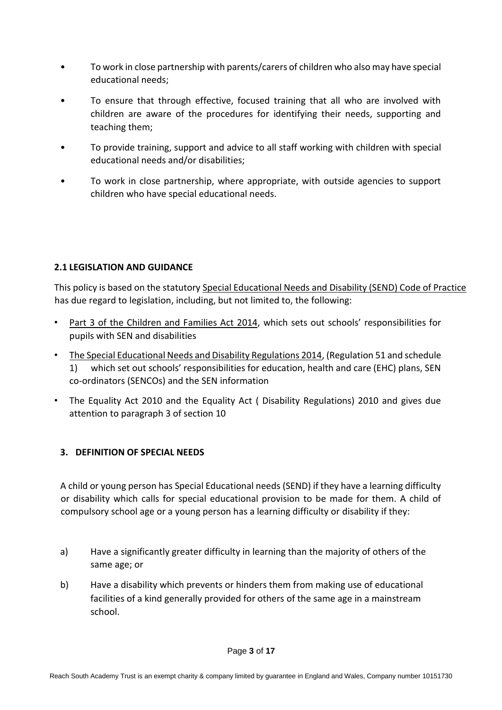- To work in close partnership with parents/carers of children who also may have special educational needs;
- To ensure that through effective, focused training that all who are involved with children are aware of the procedures for identifying their needs, supporting and teaching them;
- To provide training, support and advice to all staff working with children with special educational needs and/or disabilities;
- To work in close partnership, where appropriate, with outside agencies to support children who have special educational needs.

## **2.1 LEGISLATION AND GUIDANCE**

This policy is based on the statutory [Special Educational Needs and Disability \(SEND\) Code of Practice](https://www.gov.uk/government/uploads/system/uploads/attachment_data/file/398815/SEND_Code_of_Practice_January_2015.pdf) has due regard to legislation, including, but not limited to, the following:

- [Part 3 of the Children and Families Act 2014,](http://www.legislation.gov.uk/ukpga/2014/6/part/3) which sets out schools' responsibilities for pupils with SEN and disabilities
- [The Special Educational Needs and Disability Regulations 2014,](http://www.legislation.gov.uk/uksi/2014/1530/contents/made) (Regulation 51 and schedule 1) which set out schools' responsibilities for education, health and care (EHC) plans, SEN co-ordinators (SENCOs) and the SEN information
- The Equality Act 2010 and the Equality Act ( Disability Regulations) 2010 and gives due attention to paragraph 3 of section 10

# **3. DEFINITION OF SPECIAL NEEDS**

A child or young person has Special Educational needs (SEND) if they have a learning difficulty or disability which calls for special educational provision to be made for them. A child of compulsory school age or a young person has a learning difficulty or disability if they:

- a) Have a significantly greater difficulty in learning than the majority of others of the same age; or
- b) Have a disability which prevents or hinders them from making use of educational facilities of a kind generally provided for others of the same age in a mainstream school.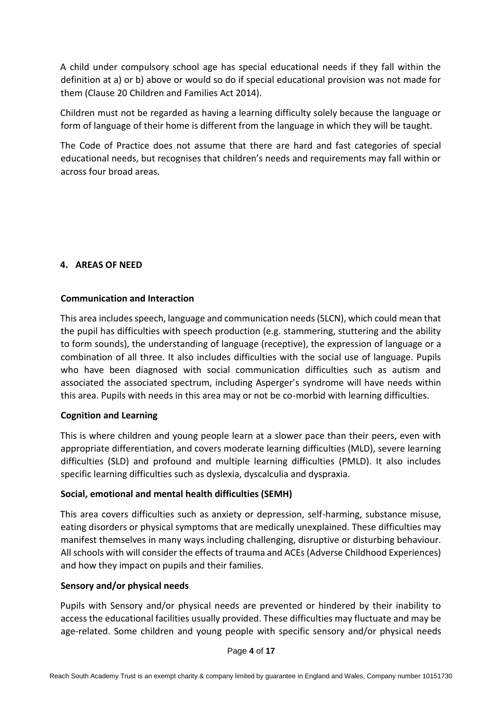A child under compulsory school age has special educational needs if they fall within the definition at a) or b) above or would so do if special educational provision was not made for them (Clause 20 Children and Families Act 2014).

Children must not be regarded as having a learning difficulty solely because the language or form of language of their home is different from the language in which they will be taught.

The Code of Practice does not assume that there are hard and fast categories of special educational needs, but recognises that children's needs and requirements may fall within or across four broad areas.

## **4. AREAS OF NEED**

## **Communication and Interaction**

This area includes speech, language and communication needs (SLCN), which could mean that the pupil has difficulties with speech production (e.g. stammering, stuttering and the ability to form sounds), the understanding of language (receptive), the expression of language or a combination of all three. It also includes difficulties with the social use of language. Pupils who have been diagnosed with social communication difficulties such as autism and associated the associated spectrum, including Asperger's syndrome will have needs within this area. Pupils with needs in this area may or not be co-morbid with learning difficulties.

## **Cognition and Learning**

This is where children and young people learn at a slower pace than their peers, even with appropriate differentiation, and covers moderate learning difficulties (MLD), severe learning difficulties (SLD) and profound and multiple learning difficulties (PMLD). It also includes specific learning difficulties such as dyslexia, dyscalculia and dyspraxia.

#### **Social, emotional and mental health difficulties (SEMH)**

This area covers difficulties such as anxiety or depression, self-harming, substance misuse, eating disorders or physical symptoms that are medically unexplained. These difficulties may manifest themselves in many ways including challenging, disruptive or disturbing behaviour. All schools with will consider the effects of trauma and ACEs (Adverse Childhood Experiences) and how they impact on pupils and their families.

#### **Sensory and/or physical needs**

Pupils with Sensory and/or physical needs are prevented or hindered by their inability to access the educational facilities usually provided. These difficulties may fluctuate and may be age-related. Some children and young people with specific sensory and/or physical needs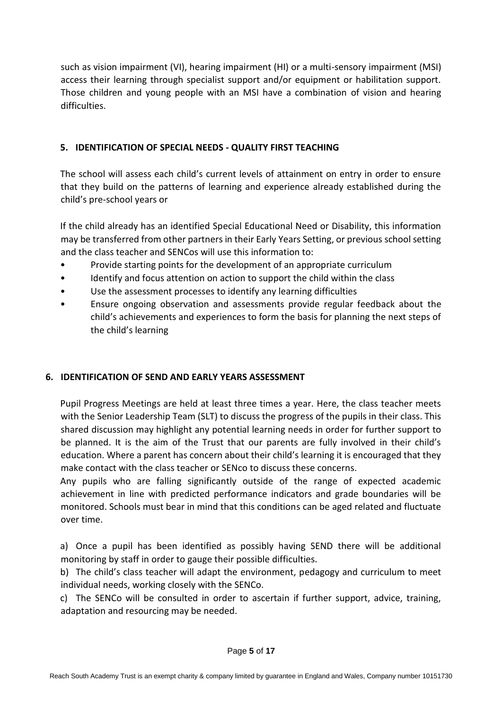such as vision impairment (VI), hearing impairment (HI) or a multi-sensory impairment (MSI) access their learning through specialist support and/or equipment or habilitation support. Those children and young people with an MSI have a combination of vision and hearing difficulties.

## **5. IDENTIFICATION OF SPECIAL NEEDS - QUALITY FIRST TEACHING**

The school will assess each child's current levels of attainment on entry in order to ensure that they build on the patterns of learning and experience already established during the child's pre-school years or

If the child already has an identified Special Educational Need or Disability, this information may be transferred from other partners in their Early Years Setting, or previous school setting and the class teacher and SENCos will use this information to:

- Provide starting points for the development of an appropriate curriculum
- Identify and focus attention on action to support the child within the class
- Use the assessment processes to identify any learning difficulties
- Ensure ongoing observation and assessments provide regular feedback about the child's achievements and experiences to form the basis for planning the next steps of the child's learning

# **6. IDENTIFICATION OF SEND AND EARLY YEARS ASSESSMENT**

Pupil Progress Meetings are held at least three times a year. Here, the class teacher meets with the Senior Leadership Team (SLT) to discuss the progress of the pupils in their class. This shared discussion may highlight any potential learning needs in order for further support to be planned. It is the aim of the Trust that our parents are fully involved in their child's education. Where a parent has concern about their child's learning it is encouraged that they make contact with the class teacher or SENco to discuss these concerns.

Any pupils who are falling significantly outside of the range of expected academic achievement in line with predicted performance indicators and grade boundaries will be monitored. Schools must bear in mind that this conditions can be aged related and fluctuate over time.

a) Once a pupil has been identified as possibly having SEND there will be additional monitoring by staff in order to gauge their possible difficulties.

b) The child's class teacher will adapt the environment, pedagogy and curriculum to meet individual needs, working closely with the SENCo.

c) The SENCo will be consulted in order to ascertain if further support, advice, training, adaptation and resourcing may be needed.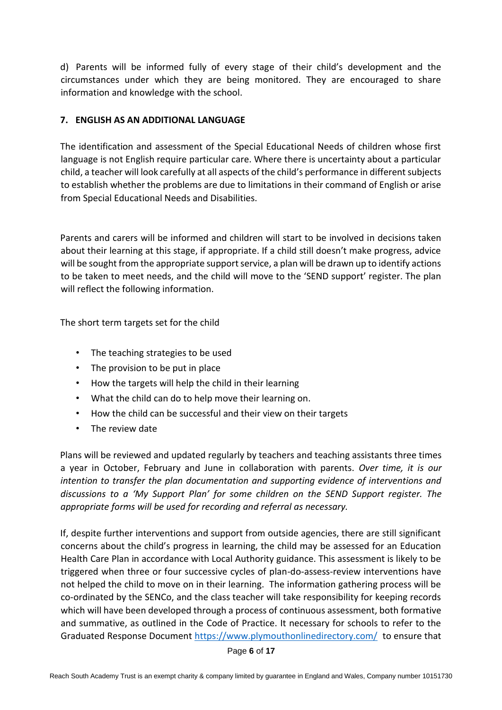d) Parents will be informed fully of every stage of their child's development and the circumstances under which they are being monitored. They are encouraged to share information and knowledge with the school.

## **7. ENGLISH AS AN ADDITIONAL LANGUAGE**

The identification and assessment of the Special Educational Needs of children whose first language is not English require particular care. Where there is uncertainty about a particular child, a teacher will look carefully at all aspects of the child's performance in different subjects to establish whether the problems are due to limitations in their command of English or arise from Special Educational Needs and Disabilities.

Parents and carers will be informed and children will start to be involved in decisions taken about their learning at this stage, if appropriate. If a child still doesn't make progress, advice will be sought from the appropriate support service, a plan will be drawn up to identify actions to be taken to meet needs, and the child will move to the 'SEND support' register. The plan will reflect the following information.

The short term targets set for the child

- The teaching strategies to be used
- The provision to be put in place
- How the targets will help the child in their learning
- What the child can do to help move their learning on.
- How the child can be successful and their view on their targets
- The review date

Plans will be reviewed and updated regularly by teachers and teaching assistants three times a year in October, February and June in collaboration with parents. *Over time, it is our intention to transfer the plan documentation and supporting evidence of interventions and discussions to a 'My Support Plan' for some children on the SEND Support register. The appropriate forms will be used for recording and referral as necessary.*

If, despite further interventions and support from outside agencies, there are still significant concerns about the child's progress in learning, the child may be assessed for an Education Health Care Plan in accordance with Local Authority guidance. This assessment is likely to be triggered when three or four successive cycles of plan-do-assess-review interventions have not helped the child to move on in their learning. The information gathering process will be co-ordinated by the SENCo, and the class teacher will take responsibility for keeping records which will have been developed through a process of continuous assessment, both formative and summative, as outlined in the Code of Practice. It necessary for schools to refer to the Graduated Response Document<https://www.plymouthonlinedirectory.com/> to ensure that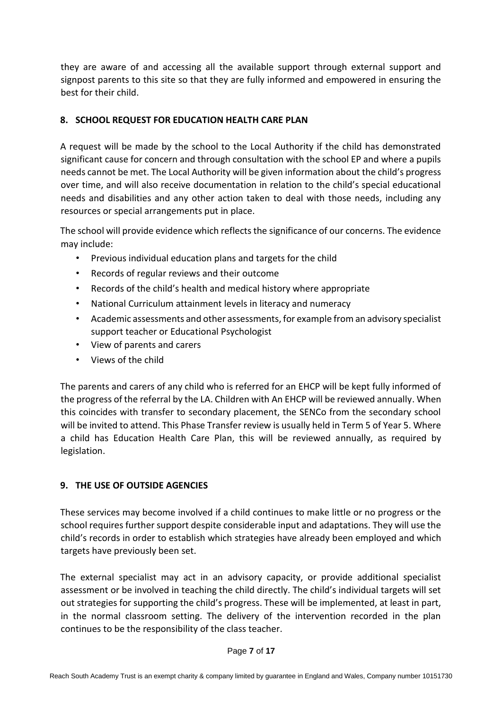they are aware of and accessing all the available support through external support and signpost parents to this site so that they are fully informed and empowered in ensuring the best for their child.

# **8. SCHOOL REQUEST FOR EDUCATION HEALTH CARE PLAN**

A request will be made by the school to the Local Authority if the child has demonstrated significant cause for concern and through consultation with the school EP and where a pupils needs cannot be met. The Local Authority will be given information about the child's progress over time, and will also receive documentation in relation to the child's special educational needs and disabilities and any other action taken to deal with those needs, including any resources or special arrangements put in place.

The school will provide evidence which reflects the significance of our concerns. The evidence may include:

- Previous individual education plans and targets for the child
- Records of regular reviews and their outcome
- Records of the child's health and medical history where appropriate
- National Curriculum attainment levels in literacy and numeracy
- Academic assessments and other assessments, for example from an advisory specialist support teacher or Educational Psychologist
- View of parents and carers
- Views of the child

The parents and carers of any child who is referred for an EHCP will be kept fully informed of the progress of the referral by the LA. Children with An EHCP will be reviewed annually. When this coincides with transfer to secondary placement, the SENCo from the secondary school will be invited to attend. This Phase Transfer review is usually held in Term 5 of Year 5. Where a child has Education Health Care Plan, this will be reviewed annually, as required by legislation.

# **9. THE USE OF OUTSIDE AGENCIES**

These services may become involved if a child continues to make little or no progress or the school requires further support despite considerable input and adaptations. They will use the child's records in order to establish which strategies have already been employed and which targets have previously been set.

The external specialist may act in an advisory capacity, or provide additional specialist assessment or be involved in teaching the child directly. The child's individual targets will set out strategies for supporting the child's progress. These will be implemented, at least in part, in the normal classroom setting. The delivery of the intervention recorded in the plan continues to be the responsibility of the class teacher.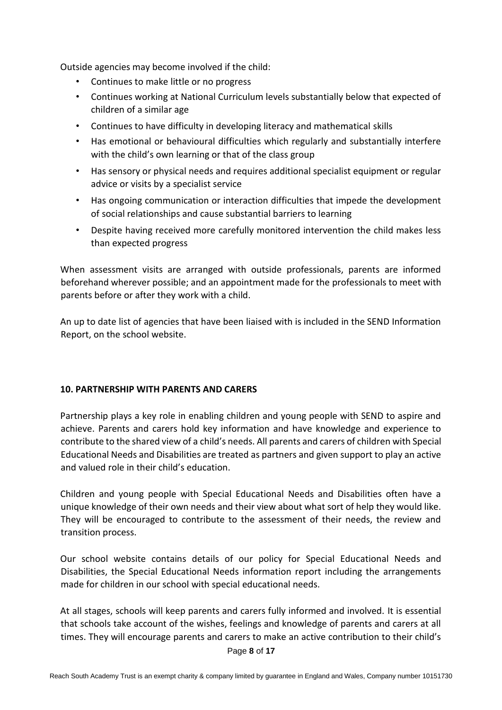Outside agencies may become involved if the child:

- Continues to make little or no progress
- Continues working at National Curriculum levels substantially below that expected of children of a similar age
- Continues to have difficulty in developing literacy and mathematical skills
- Has emotional or behavioural difficulties which regularly and substantially interfere with the child's own learning or that of the class group
- Has sensory or physical needs and requires additional specialist equipment or regular advice or visits by a specialist service
- Has ongoing communication or interaction difficulties that impede the development of social relationships and cause substantial barriers to learning
- Despite having received more carefully monitored intervention the child makes less than expected progress

When assessment visits are arranged with outside professionals, parents are informed beforehand wherever possible; and an appointment made for the professionals to meet with parents before or after they work with a child.

An up to date list of agencies that have been liaised with is included in the SEND Information Report, on the school website.

## **10. PARTNERSHIP WITH PARENTS AND CARERS**

Partnership plays a key role in enabling children and young people with SEND to aspire and achieve. Parents and carers hold key information and have knowledge and experience to contribute to the shared view of a child's needs. All parents and carers of children with Special Educational Needs and Disabilities are treated as partners and given support to play an active and valued role in their child's education.

Children and young people with Special Educational Needs and Disabilities often have a unique knowledge of their own needs and their view about what sort of help they would like. They will be encouraged to contribute to the assessment of their needs, the review and transition process.

Our school website contains details of our policy for Special Educational Needs and Disabilities, the Special Educational Needs information report including the arrangements made for children in our school with special educational needs.

At all stages, schools will keep parents and carers fully informed and involved. It is essential that schools take account of the wishes, feelings and knowledge of parents and carers at all times. They will encourage parents and carers to make an active contribution to their child's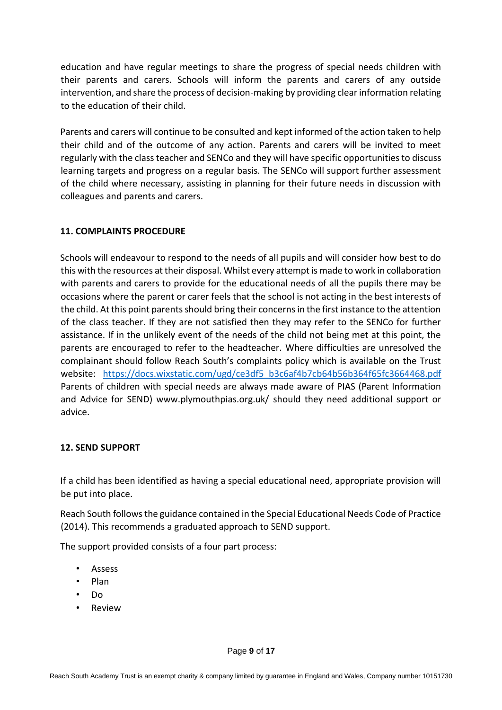education and have regular meetings to share the progress of special needs children with their parents and carers. Schools will inform the parents and carers of any outside intervention, and share the process of decision-making by providing clear information relating to the education of their child.

Parents and carers will continue to be consulted and kept informed of the action taken to help their child and of the outcome of any action. Parents and carers will be invited to meet regularly with the class teacher and SENCo and they will have specific opportunities to discuss learning targets and progress on a regular basis. The SENCo will support further assessment of the child where necessary, assisting in planning for their future needs in discussion with colleagues and parents and carers.

## **11. COMPLAINTS PROCEDURE**

Schools will endeavour to respond to the needs of all pupils and will consider how best to do this with the resources at their disposal. Whilst every attempt is made to work in collaboration with parents and carers to provide for the educational needs of all the pupils there may be occasions where the parent or carer feels that the school is not acting in the best interests of the child. At this point parents should bring their concerns in the first instance to the attention of the class teacher. If they are not satisfied then they may refer to the SENCo for further assistance. If in the unlikely event of the needs of the child not being met at this point, the parents are encouraged to refer to the headteacher. Where difficulties are unresolved the complainant should follow Reach South's complaints policy which is available on the Trust website: [https://docs.wixstatic.com/ugd/ce3df5\\_b3c6af4b7cb64b56b364f65fc3664468.pdf](https://docs.wixstatic.com/ugd/ce3df5_b3c6af4b7cb64b56b364f65fc3664468.pdf) Parents of children with special needs are always made aware of PIAS (Parent Information and Advice for SEND) www.plymouthpias.org.uk/ should they need additional support or advice.

## **12. SEND SUPPORT**

If a child has been identified as having a special educational need, appropriate provision will be put into place.

Reach South follows the guidance contained in the Special Educational Needs Code of Practice (2014). This recommends a graduated approach to SEND support.

The support provided consists of a four part process:

- Assess
- Plan
- Do
- Review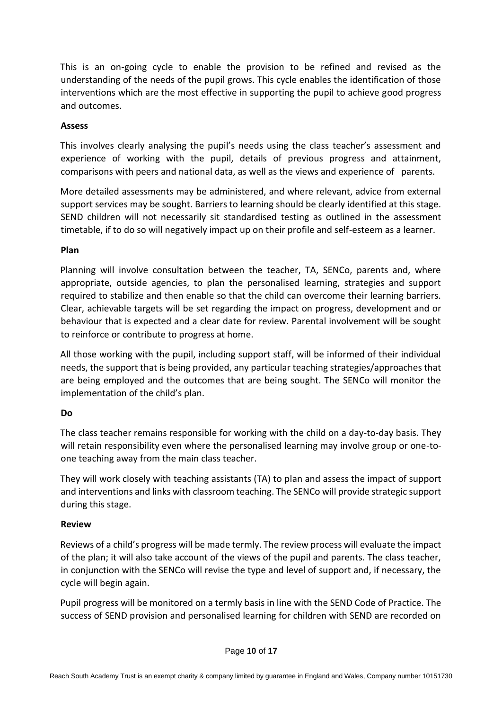This is an on-going cycle to enable the provision to be refined and revised as the understanding of the needs of the pupil grows. This cycle enables the identification of those interventions which are the most effective in supporting the pupil to achieve good progress and outcomes.

## **Assess**

This involves clearly analysing the pupil's needs using the class teacher's assessment and experience of working with the pupil, details of previous progress and attainment, comparisons with peers and national data, as well as the views and experience of parents.

More detailed assessments may be administered, and where relevant, advice from external support services may be sought. Barriers to learning should be clearly identified at this stage. SEND children will not necessarily sit standardised testing as outlined in the assessment timetable, if to do so will negatively impact up on their profile and self-esteem as a learner.

#### **Plan**

Planning will involve consultation between the teacher, TA, SENCo, parents and, where appropriate, outside agencies, to plan the personalised learning, strategies and support required to stabilize and then enable so that the child can overcome their learning barriers. Clear, achievable targets will be set regarding the impact on progress, development and or behaviour that is expected and a clear date for review. Parental involvement will be sought to reinforce or contribute to progress at home.

All those working with the pupil, including support staff, will be informed of their individual needs, the support that is being provided, any particular teaching strategies/approaches that are being employed and the outcomes that are being sought. The SENCo will monitor the implementation of the child's plan.

## **Do**

The class teacher remains responsible for working with the child on a day-to-day basis. They will retain responsibility even where the personalised learning may involve group or one-toone teaching away from the main class teacher.

They will work closely with teaching assistants (TA) to plan and assess the impact of support and interventions and links with classroom teaching. The SENCo will provide strategic support during this stage.

## **Review**

Reviews of a child's progress will be made termly. The review process will evaluate the impact of the plan; it will also take account of the views of the pupil and parents. The class teacher, in conjunction with the SENCo will revise the type and level of support and, if necessary, the cycle will begin again.

Pupil progress will be monitored on a termly basis in line with the SEND Code of Practice. The success of SEND provision and personalised learning for children with SEND are recorded on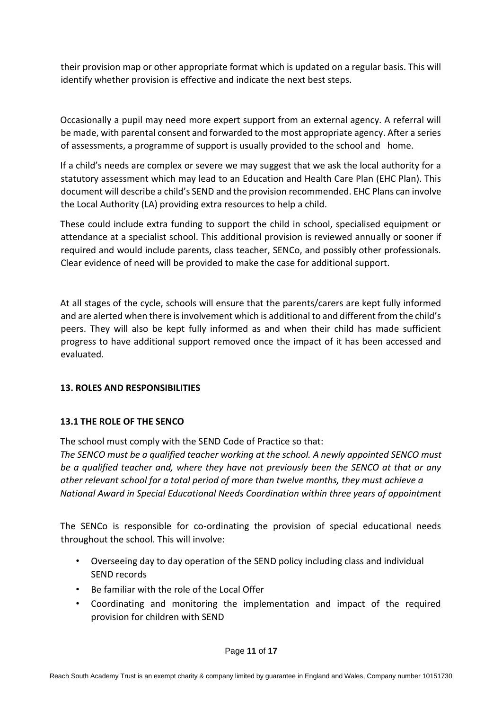their provision map or other appropriate format which is updated on a regular basis. This will identify whether provision is effective and indicate the next best steps.

Occasionally a pupil may need more expert support from an external agency. A referral will be made, with parental consent and forwarded to the most appropriate agency. After a series of assessments, a programme of support is usually provided to the school and home.

If a child's needs are complex or severe we may suggest that we ask the local authority for a statutory assessment which may lead to an Education and Health Care Plan (EHC Plan). This document will describe a child's SEND and the provision recommended. EHC Plans can involve the Local Authority (LA) providing extra resources to help a child.

These could include extra funding to support the child in school, specialised equipment or attendance at a specialist school. This additional provision is reviewed annually or sooner if required and would include parents, class teacher, SENCo, and possibly other professionals. Clear evidence of need will be provided to make the case for additional support.

At all stages of the cycle, schools will ensure that the parents/carers are kept fully informed and are alerted when there is involvement which is additional to and different from the child's peers. They will also be kept fully informed as and when their child has made sufficient progress to have additional support removed once the impact of it has been accessed and evaluated.

## **13. ROLES AND RESPONSIBILITIES**

## **13.1 THE ROLE OF THE SENCO**

The school must comply with the SEND Code of Practice so that:

*The SENCO must be a qualified teacher working at the school. A newly appointed SENCO must be a qualified teacher and, where they have not previously been the SENCO at that or any other relevant school for a total period of more than twelve months, they must achieve a National Award in Special Educational Needs Coordination within three years of appointment* 

The SENCo is responsible for co-ordinating the provision of special educational needs throughout the school. This will involve:

- Overseeing day to day operation of the SEND policy including class and individual SEND records
- Be familiar with the role of the Local Offer
- Coordinating and monitoring the implementation and impact of the required provision for children with SEND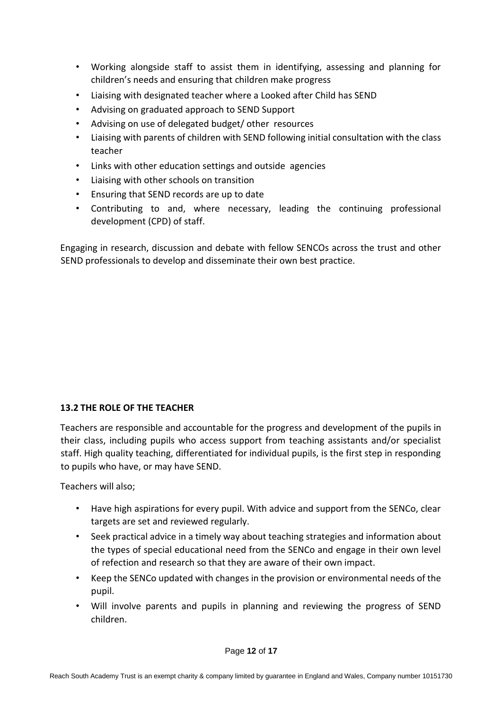- Working alongside staff to assist them in identifying, assessing and planning for children's needs and ensuring that children make progress
- Liaising with designated teacher where a Looked after Child has SEND
- Advising on graduated approach to SEND Support
- Advising on use of delegated budget/ other resources
- Liaising with parents of children with SEND following initial consultation with the class teacher
- Links with other education settings and outside agencies
- Liaising with other schools on transition
- Ensuring that SEND records are up to date
- Contributing to and, where necessary, leading the continuing professional development (CPD) of staff.

Engaging in research, discussion and debate with fellow SENCOs across the trust and other SEND professionals to develop and disseminate their own best practice.

## **13.2 THE ROLE OF THE TEACHER**

Teachers are responsible and accountable for the progress and development of the pupils in their class, including pupils who access support from teaching assistants and/or specialist staff. High quality teaching, differentiated for individual pupils, is the first step in responding to pupils who have, or may have SEND.

Teachers will also;

- Have high aspirations for every pupil. With advice and support from the SENCo, clear targets are set and reviewed regularly.
- Seek practical advice in a timely way about teaching strategies and information about the types of special educational need from the SENCo and engage in their own level of refection and research so that they are aware of their own impact.
- Keep the SENCo updated with changes in the provision or environmental needs of the pupil.
- Will involve parents and pupils in planning and reviewing the progress of SEND children.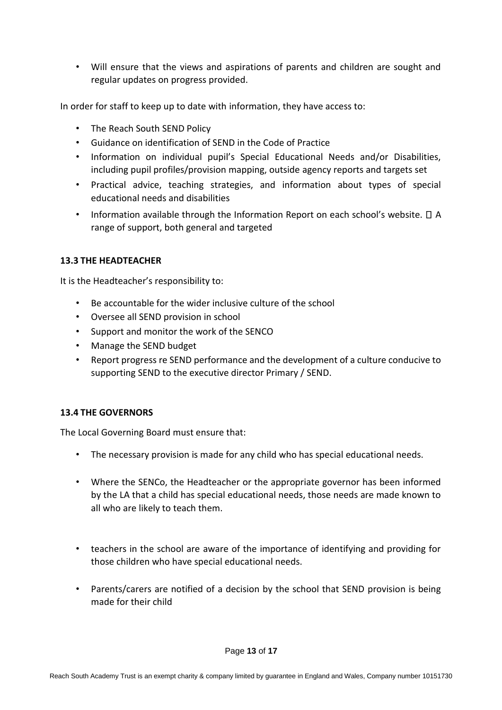• Will ensure that the views and aspirations of parents and children are sought and regular updates on progress provided.

In order for staff to keep up to date with information, they have access to:

- The Reach South SEND Policy
- Guidance on identification of SEND in the Code of Practice
- Information on individual pupil's Special Educational Needs and/or Disabilities, including pupil profiles/provision mapping, outside agency reports and targets set
- Practical advice, teaching strategies, and information about types of special educational needs and disabilities
- Information available through the Information Report on each school's website.  $\Box$  A range of support, both general and targeted

#### **13.3 THE HEADTEACHER**

It is the Headteacher's responsibility to:

- Be accountable for the wider inclusive culture of the school
- Oversee all SEND provision in school
- Support and monitor the work of the SENCO
- Manage the SEND budget
- Report progress re SEND performance and the development of a culture conducive to supporting SEND to the executive director Primary / SEND.

#### **13.4 THE GOVERNORS**

The Local Governing Board must ensure that:

- The necessary provision is made for any child who has special educational needs.
- Where the SENCo, the Headteacher or the appropriate governor has been informed by the LA that a child has special educational needs, those needs are made known to all who are likely to teach them.
- teachers in the school are aware of the importance of identifying and providing for those children who have special educational needs.
- Parents/carers are notified of a decision by the school that SEND provision is being made for their child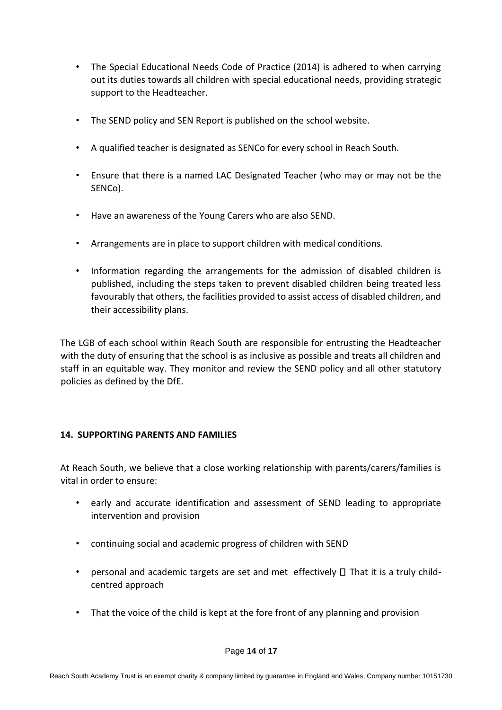- The Special Educational Needs Code of Practice (2014) is adhered to when carrying out its duties towards all children with special educational needs, providing strategic support to the Headteacher.
- The SEND policy and SEN Report is published on the school website.
- A qualified teacher is designated as SENCo for every school in Reach South.
- Ensure that there is a named LAC Designated Teacher (who may or may not be the SENCo).
- Have an awareness of the Young Carers who are also SEND.
- Arrangements are in place to support children with medical conditions.
- Information regarding the arrangements for the admission of disabled children is published, including the steps taken to prevent disabled children being treated less favourably that others, the facilities provided to assist access of disabled children, and their accessibility plans.

The LGB of each school within Reach South are responsible for entrusting the Headteacher with the duty of ensuring that the school is as inclusive as possible and treats all children and staff in an equitable way. They monitor and review the SEND policy and all other statutory policies as defined by the DfE.

## **14. SUPPORTING PARENTS AND FAMILIES**

At Reach South, we believe that a close working relationship with parents/carers/families is vital in order to ensure:

- early and accurate identification and assessment of SEND leading to appropriate intervention and provision
- continuing social and academic progress of children with SEND
- personal and academic targets are set and met effectively  $\Box$  That it is a truly childcentred approach
- That the voice of the child is kept at the fore front of any planning and provision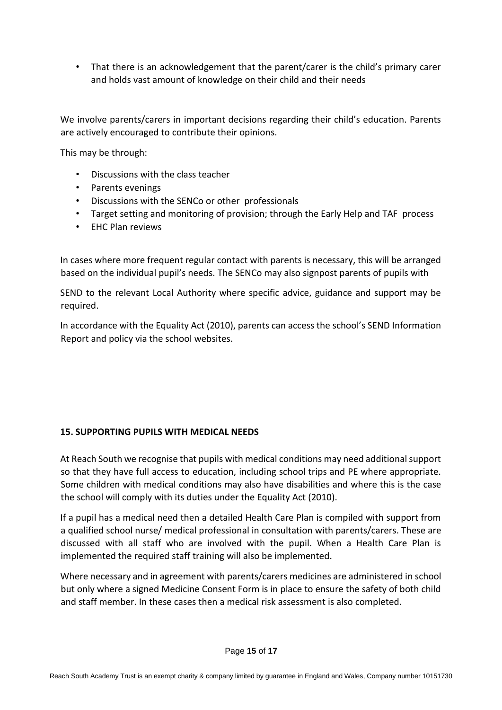• That there is an acknowledgement that the parent/carer is the child's primary carer and holds vast amount of knowledge on their child and their needs

We involve parents/carers in important decisions regarding their child's education. Parents are actively encouraged to contribute their opinions.

This may be through:

- Discussions with the class teacher
- Parents evenings
- Discussions with the SENCo or other professionals
- Target setting and monitoring of provision; through the Early Help and TAF process
- EHC Plan reviews

In cases where more frequent regular contact with parents is necessary, this will be arranged based on the individual pupil's needs. The SENCo may also signpost parents of pupils with

SEND to the relevant Local Authority where specific advice, guidance and support may be required.

In accordance with the Equality Act (2010), parents can access the school's SEND Information Report and policy via the school websites.

#### **15. SUPPORTING PUPILS WITH MEDICAL NEEDS**

At Reach South we recognise that pupils with medical conditions may need additional support so that they have full access to education, including school trips and PE where appropriate. Some children with medical conditions may also have disabilities and where this is the case the school will comply with its duties under the Equality Act (2010).

If a pupil has a medical need then a detailed Health Care Plan is compiled with support from a qualified school nurse/ medical professional in consultation with parents/carers. These are discussed with all staff who are involved with the pupil. When a Health Care Plan is implemented the required staff training will also be implemented.

Where necessary and in agreement with parents/carers medicines are administered in school but only where a signed Medicine Consent Form is in place to ensure the safety of both child and staff member. In these cases then a medical risk assessment is also completed.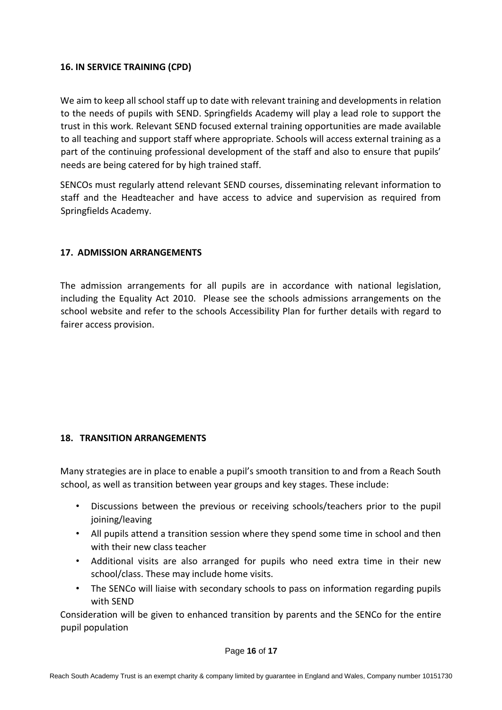## **16. IN SERVICE TRAINING (CPD)**

We aim to keep all school staff up to date with relevant training and developments in relation to the needs of pupils with SEND. Springfields Academy will play a lead role to support the trust in this work. Relevant SEND focused external training opportunities are made available to all teaching and support staff where appropriate. Schools will access external training as a part of the continuing professional development of the staff and also to ensure that pupils' needs are being catered for by high trained staff.

SENCOs must regularly attend relevant SEND courses, disseminating relevant information to staff and the Headteacher and have access to advice and supervision as required from Springfields Academy.

## **17. ADMISSION ARRANGEMENTS**

The admission arrangements for all pupils are in accordance with national legislation, including the Equality Act 2010. Please see the schools admissions arrangements on the school website and refer to the schools Accessibility Plan for further details with regard to fairer access provision.

#### **18. TRANSITION ARRANGEMENTS**

Many strategies are in place to enable a pupil's smooth transition to and from a Reach South school, as well as transition between year groups and key stages. These include:

- Discussions between the previous or receiving schools/teachers prior to the pupil joining/leaving
- All pupils attend a transition session where they spend some time in school and then with their new class teacher
- Additional visits are also arranged for pupils who need extra time in their new school/class. These may include home visits.
- The SENCo will liaise with secondary schools to pass on information regarding pupils with SEND

Consideration will be given to enhanced transition by parents and the SENCo for the entire pupil population